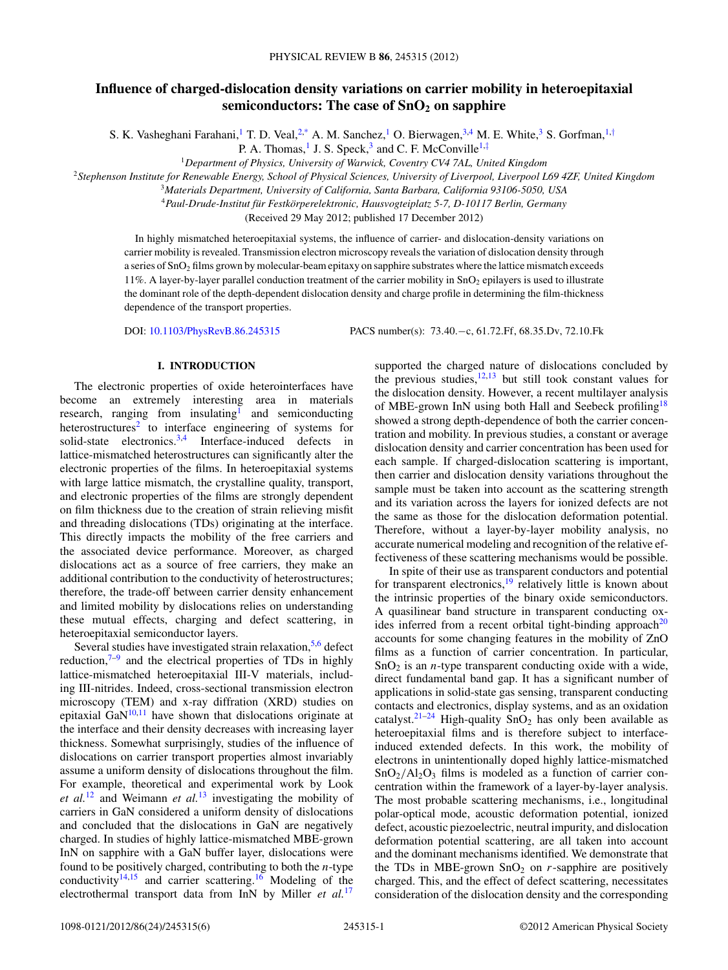# **Influence of charged-dislocation density variations on carrier mobility in heteroepitaxial semiconductors: The case of SnO<sub>2</sub> on sapphire**

S. K. Vasheghani Farahani,<sup>1</sup> T. D. Veal,<sup>2[,\\*](#page-4-0)</sup> A. M. Sanchez,<sup>1</sup> O. Bierwagen,<sup>3,4</sup> M. E. White,<sup>3</sup> S. Gorfman,<sup>1,[†](#page-4-0)</sup>

P. A. Thomas, <sup>1</sup> J. S. Speck,<sup>3</sup> and C. F. McConville<sup>1,[‡](#page-4-0)</sup>

<sup>1</sup>*Department of Physics, University of Warwick, Coventry CV4 7AL, United Kingdom*

<sup>2</sup>*Stephenson Institute for Renewable Energy, School of Physical Sciences, University of Liverpool, Liverpool L69 4ZF, United Kingdom*

<sup>3</sup>*Materials Department, University of California, Santa Barbara, California 93106-5050, USA*

<sup>4</sup>*Paul-Drude-Institut fur Festk ¨ orperelektronic, Hausvogteiplatz 5-7, D-10117 Berlin, Germany ¨*

(Received 29 May 2012; published 17 December 2012)

In highly mismatched heteroepitaxial systems, the influence of carrier- and dislocation-density variations on carrier mobility is revealed. Transmission electron microscopy reveals the variation of dislocation density through a series of SnO2 films grown by molecular-beam epitaxy on sapphire substrates where the lattice mismatch exceeds 11%. A layer-by-layer parallel conduction treatment of the carrier mobility in SnO2 epilayers is used to illustrate the dominant role of the depth-dependent dislocation density and charge profile in determining the film-thickness dependence of the transport properties.

DOI: [10.1103/PhysRevB.86.245315](http://dx.doi.org/10.1103/PhysRevB.86.245315) PACS number(s): 73*.*40*.*−c, 61*.*72*.*Ff, 68*.*35*.*Dv, 72*.*10*.*Fk

#### **I. INTRODUCTION**

The electronic properties of oxide heterointerfaces have become an extremely interesting area in materials research, ranging from insulating<sup>1</sup> and semiconducting heterostructures<sup>[2](#page-4-0)</sup> to interface engineering of systems for solid-state electronics.<sup>3,4</sup> Interface-induced defects in lattice-mismatched heterostructures can significantly alter the electronic properties of the films. In heteroepitaxial systems with large lattice mismatch, the crystalline quality, transport, and electronic properties of the films are strongly dependent on film thickness due to the creation of strain relieving misfit and threading dislocations (TDs) originating at the interface. This directly impacts the mobility of the free carriers and the associated device performance. Moreover, as charged dislocations act as a source of free carriers, they make an additional contribution to the conductivity of heterostructures; therefore, the trade-off between carrier density enhancement and limited mobility by dislocations relies on understanding these mutual effects, charging and defect scattering, in heteroepitaxial semiconductor layers.

Several studies have investigated strain relaxation,  $5.6$  defect reduction, $7-9$  and the electrical properties of TDs in highly lattice-mismatched heteroepitaxial III-V materials, including III-nitrides. Indeed, cross-sectional transmission electron microscopy (TEM) and x-ray diffration (XRD) studies on epitaxial  $GaN^{10,11}$  have shown that dislocations originate at the interface and their density decreases with increasing layer thickness. Somewhat surprisingly, studies of the influence of dislocations on carrier transport properties almost invariably assume a uniform density of dislocations throughout the film. For example, theoretical and experimental work by Look *et al.*[12](#page-4-0) and Weimann *et al.*[13](#page-4-0) investigating the mobility of carriers in GaN considered a uniform density of dislocations and concluded that the dislocations in GaN are negatively charged. In studies of highly lattice-mismatched MBE-grown InN on sapphire with a GaN buffer layer, dislocations were found to be positively charged, contributing to both the *n*-type conductivity<sup>14,15</sup> and carrier scattering.<sup>[16](#page-4-0)</sup> Modeling of the electrothermal transport data from InN by Miller *et al.*[17](#page-4-0)

supported the charged nature of dislocations concluded by the previous studies, $12,13$  but still took constant values for the dislocation density. However, a recent multilayer analysis of MBE-grown InN using both Hall and Seebeck profiling<sup>18</sup> showed a strong depth-dependence of both the carrier concentration and mobility. In previous studies, a constant or average dislocation density and carrier concentration has been used for each sample. If charged-dislocation scattering is important, then carrier and dislocation density variations throughout the sample must be taken into account as the scattering strength and its variation across the layers for ionized defects are not the same as those for the dislocation deformation potential. Therefore, without a layer-by-layer mobility analysis, no accurate numerical modeling and recognition of the relative effectiveness of these scattering mechanisms would be possible.

In spite of their use as transparent conductors and potential for transparent electronics, $19$  relatively little is known about the intrinsic properties of the binary oxide semiconductors. A quasilinear band structure in transparent conducting ox-ides inferred from a recent orbital tight-binding approach<sup>[20](#page-4-0)</sup> accounts for some changing features in the mobility of ZnO films as a function of carrier concentration. In particular, SnO<sub>2</sub> is an *n*-type transparent conducting oxide with a wide, direct fundamental band gap. It has a significant number of applications in solid-state gas sensing, transparent conducting contacts and electronics, display systems, and as an oxidation catalyst.<sup>21–24</sup> High-quality  $\overline{SnO_2}$  has only been available as heteroepitaxial films and is therefore subject to interfaceinduced extended defects. In this work, the mobility of electrons in unintentionally doped highly lattice-mismatched  $SnO<sub>2</sub>/Al<sub>2</sub>O<sub>3</sub>$  films is modeled as a function of carrier concentration within the framework of a layer-by-layer analysis. The most probable scattering mechanisms, i.e., longitudinal polar-optical mode, acoustic deformation potential, ionized defect, acoustic piezoelectric, neutral impurity, and dislocation deformation potential scattering, are all taken into account and the dominant mechanisms identified. We demonstrate that the TDs in MBE-grown  $SnO<sub>2</sub>$  on *r*-sapphire are positively charged. This, and the effect of defect scattering, necessitates consideration of the dislocation density and the corresponding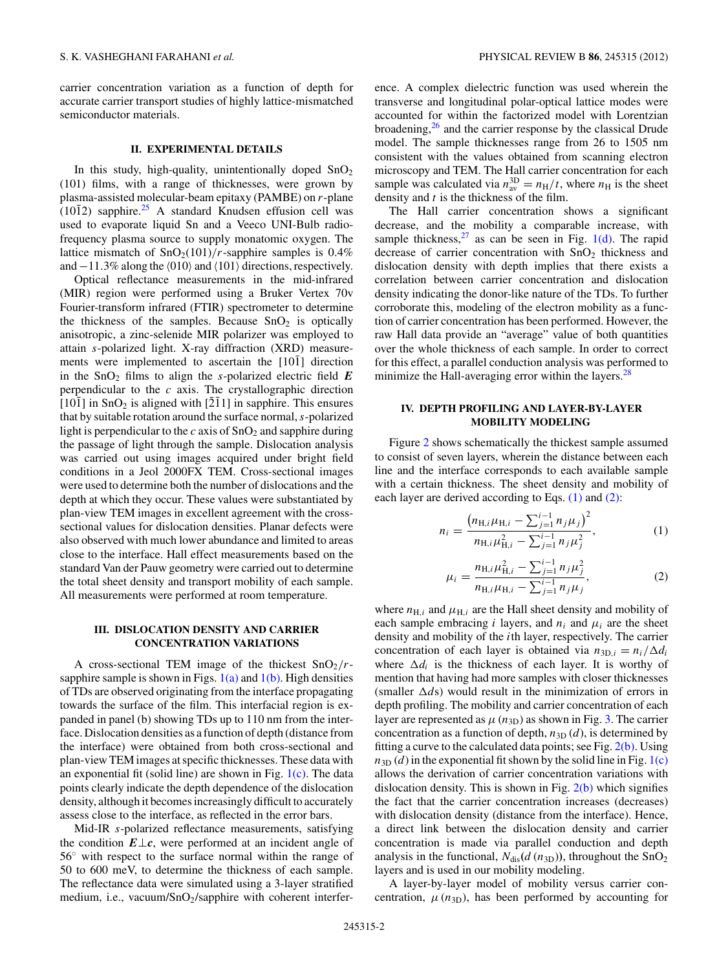carrier concentration variation as a function of depth for accurate carrier transport studies of highly lattice-mismatched semiconductor materials.

#### **II. EXPERIMENTAL DETAILS**

In this study, high-quality, unintentionally doped  $SnO<sub>2</sub>$ (101) films, with a range of thicknesses, were grown by plasma-assisted molecular-beam epitaxy (PAMBE) on *r*-plane  $(10\bar{1}2)$  sapphire.<sup>[25](#page-4-0)</sup> A standard Knudsen effusion cell was used to evaporate liquid Sn and a Veeco UNI-Bulb radiofrequency plasma source to supply monatomic oxygen. The lattice mismatch of  $SnO<sub>2</sub>(101)/r$ -sapphire samples is 0.4% and –11.3% along the  $\langle 010 \rangle$  and  $\langle 101 \rangle$  directions, respectively.

Optical reflectance measurements in the mid-infrared (MIR) region were performed using a Bruker Vertex 70v Fourier-transform infrared (FTIR) spectrometer to determine the thickness of the samples. Because  $SnO<sub>2</sub>$  is optically anisotropic, a zinc-selenide MIR polarizer was employed to attain *s*-polarized light. X-ray diffraction (XRD) measurements were implemented to ascertain the  $[10\bar{1}]$  direction in the  $SnO<sub>2</sub>$  films to align the *s*-polarized electric field  $E$ perpendicular to the *c* axis. The crystallographic direction  $[10\overline{1}]$  in SnO<sub>2</sub> is aligned with  $[2\overline{1}1]$  in sapphire. This ensures that by suitable rotation around the surface normal,*s*-polarized light is perpendicular to the  $c$  axis of  $SnO<sub>2</sub>$  and sapphire during the passage of light through the sample. Dislocation analysis was carried out using images acquired under bright field conditions in a Jeol 2000FX TEM. Cross-sectional images were used to determine both the number of dislocations and the depth at which they occur. These values were substantiated by plan-view TEM images in excellent agreement with the crosssectional values for dislocation densities. Planar defects were also observed with much lower abundance and limited to areas close to the interface. Hall effect measurements based on the standard Van der Pauw geometry were carried out to determine the total sheet density and transport mobility of each sample. All measurements were performed at room temperature.

## **III. DISLOCATION DENSITY AND CARRIER CONCENTRATION VARIATIONS**

A cross-sectional TEM image of the thickest  $SnO<sub>2</sub>/r$ sapphire sample is shown in Figs.  $1(a)$  and  $1(b)$ . High densities of TDs are observed originating from the interface propagating towards the surface of the film. This interfacial region is expanded in panel (b) showing TDs up to 110 nm from the interface. Dislocation densities as a function of depth (distance from the interface) were obtained from both cross-sectional and plan-view TEM images at specific thicknesses. These data with an exponential fit (solid line) are shown in Fig.  $1(c)$ . The data points clearly indicate the depth dependence of the dislocation density, although it becomes increasingly difficult to accurately assess close to the interface, as reflected in the error bars.

Mid-IR *s*-polarized reflectance measurements, satisfying the condition  $E \perp c$ , were performed at an incident angle of 56◦ with respect to the surface normal within the range of 50 to 600 meV, to determine the thickness of each sample. The reflectance data were simulated using a 3-layer stratified medium, i.e., vacuum/SnO2/sapphire with coherent interference. A complex dielectric function was used wherein the transverse and longitudinal polar-optical lattice modes were accounted for within the factorized model with Lorentzian broadening, $26$  and the carrier response by the classical Drude model. The sample thicknesses range from 26 to 1505 nm consistent with the values obtained from scanning electron microscopy and TEM. The Hall carrier concentration for each sample was calculated via  $n_{av}^{3D} = n_H/t$ , where  $n_H$  is the sheet density and *t* is the thickness of the film.

The Hall carrier concentration shows a significant decrease, and the mobility a comparable increase, with sample thickness,<sup>27</sup> as can be seen in Fig. [1\(d\).](#page-2-0) The rapid decrease of carrier concentration with  $SnO<sub>2</sub>$  thickness and dislocation density with depth implies that there exists a correlation between carrier concentration and dislocation density indicating the donor-like nature of the TDs. To further corroborate this, modeling of the electron mobility as a function of carrier concentration has been performed. However, the raw Hall data provide an "average" value of both quantities over the whole thickness of each sample. In order to correct for this effect, a parallel conduction analysis was performed to minimize the Hall-averaging error within the layers. $^{28}$  $^{28}$  $^{28}$ 

## **IV. DEPTH PROFILING AND LAYER-BY-LAYER MOBILITY MODELING**

Figure [2](#page-3-0) shows schematically the thickest sample assumed to consist of seven layers, wherein the distance between each line and the interface corresponds to each available sample with a certain thickness. The sheet density and mobility of each layer are derived according to Eqs. (1) and (2):

$$
n_{i} = \frac{\left(n_{\text{H},i}\mu_{\text{H},i} - \sum_{j=1}^{i-1} n_{j}\mu_{j}\right)^{2}}{n_{\text{H},i}\mu_{\text{H},i}^{2} - \sum_{j=1}^{i-1} n_{j}\mu_{j}^{2}},
$$
\n(1)

$$
\mu_i = \frac{n_{\text{H},i}\mu_{\text{H},i}^2 - \sum_{j=1}^{i-1} n_j \mu_j^2}{n_{\text{H},i}\mu_{\text{H},i} - \sum_{j=1}^{i-1} n_j \mu_j},\tag{2}
$$

where  $n_{\text{H},i}$  and  $\mu_{\text{H},i}$  are the Hall sheet density and mobility of each sample embracing *i* layers, and  $n_i$  and  $\mu_i$  are the sheet density and mobility of the *i*th layer, respectively. The carrier concentration of each layer is obtained via  $n_{3D,i} = n_i/\Delta d_i$ where  $\Delta d_i$  is the thickness of each layer. It is worthy of mention that having had more samples with closer thicknesses (smaller  $\Delta ds$ ) would result in the minimization of errors in depth profiling. The mobility and carrier concentration of each layer are represented as  $\mu$  ( $n_{3D}$ ) as shown in Fig. [3.](#page-3-0) The carrier concentration as a function of depth,  $n_{3D}(d)$ , is determined by fitting a curve to the calculated data points; see Fig.  $2(b)$ . Using  $n_{3D}$  (*d*) in the exponential fit shown by the solid line in Fig. [1\(c\)](#page-2-0) allows the derivation of carrier concentration variations with dislocation density. This is shown in Fig.  $2(b)$  which signifies the fact that the carrier concentration increases (decreases) with dislocation density (distance from the interface). Hence, a direct link between the dislocation density and carrier concentration is made via parallel conduction and depth analysis in the functional,  $N_{dis}(d (n_{3D}))$ , throughout the SnO<sub>2</sub> layers and is used in our mobility modeling.

A layer-by-layer model of mobility versus carrier concentration,  $\mu$ ( $n_{3D}$ ), has been performed by accounting for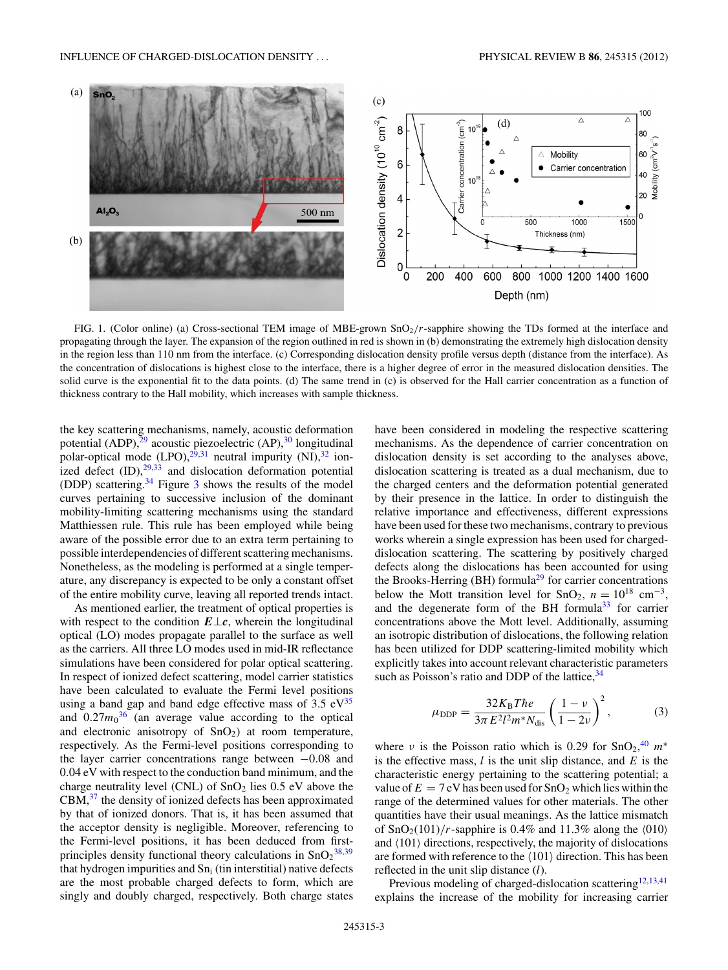<span id="page-2-0"></span>

FIG. 1. (Color online) (a) Cross-sectional TEM image of MBE-grown SnO<sub>2</sub>/r-sapphire showing the TDs formed at the interface and propagating through the layer. The expansion of the region outlined in red is shown in (b) demonstrating the extremely high dislocation density in the region less than 110 nm from the interface. (c) Corresponding dislocation density profile versus depth (distance from the interface). As the concentration of dislocations is highest close to the interface, there is a higher degree of error in the measured dislocation densities. The solid curve is the exponential fit to the data points. (d) The same trend in (c) is observed for the Hall carrier concentration as a function of thickness contrary to the Hall mobility, which increases with sample thickness.

the key scattering mechanisms, namely, acoustic deformation potential (ADP), $^{29}$  acoustic piezoelectric (AP), $^{30}$  longitudinal polar-optical mode  $(LPO)$ , <sup>[29,31](#page-4-0)</sup> neutral impurity  $(NI)$ , <sup>32</sup> ionized defect  $(ID),^{29,33}$  $(ID),^{29,33}$  $(ID),^{29,33}$  $(ID),^{29,33}$  and dislocation deformation potential (DDP) scattering[.34](#page-5-0) Figure [3](#page-3-0) shows the results of the model curves pertaining to successive inclusion of the dominant mobility-limiting scattering mechanisms using the standard Matthiessen rule. This rule has been employed while being aware of the possible error due to an extra term pertaining to possible interdependencies of different scattering mechanisms. Nonetheless, as the modeling is performed at a single temperature, any discrepancy is expected to be only a constant offset of the entire mobility curve, leaving all reported trends intact.

As mentioned earlier, the treatment of optical properties is with respect to the condition *E*⊥*c*, wherein the longitudinal optical (LO) modes propagate parallel to the surface as well as the carriers. All three LO modes used in mid-IR reflectance simulations have been considered for polar optical scattering. In respect of ionized defect scattering, model carrier statistics have been calculated to evaluate the Fermi level positions using a band gap and band edge effective mass of  $3.5 \text{ eV}^{35}$ and  $0.27m_0^{36}$  $0.27m_0^{36}$  $0.27m_0^{36}$  (an average value according to the optical and electronic anisotropy of  $SnO<sub>2</sub>$ ) at room temperature, respectively. As the Fermi-level positions corresponding to the layer carrier concentrations range between −0*.*08 and 0*.*04 eV with respect to the conduction band minimum, and the charge neutrality level (CNL) of  $SnO<sub>2</sub>$  lies 0.5 eV above the  $CBM<sub>3</sub><sup>37</sup>$  $CBM<sub>3</sub><sup>37</sup>$  $CBM<sub>3</sub><sup>37</sup>$  the density of ionized defects has been approximated by that of ionized donors. That is, it has been assumed that the acceptor density is negligible. Moreover, referencing to the Fermi-level positions, it has been deduced from firstprinciples density functional theory calculations in  $SnO<sub>2</sub><sup>38,39</sup>$  $SnO<sub>2</sub><sup>38,39</sup>$  $SnO<sub>2</sub><sup>38,39</sup>$ that hydrogen impurities and  $Sn_i$  (tin interstitial) native defects are the most probable charged defects to form, which are singly and doubly charged, respectively. Both charge states have been considered in modeling the respective scattering mechanisms. As the dependence of carrier concentration on dislocation density is set according to the analyses above, dislocation scattering is treated as a dual mechanism, due to the charged centers and the deformation potential generated by their presence in the lattice. In order to distinguish the relative importance and effectiveness, different expressions have been used for these two mechanisms, contrary to previous works wherein a single expression has been used for chargeddislocation scattering. The scattering by positively charged defects along the dislocations has been accounted for using the Brooks-Herring (BH) formula<sup>29</sup> for carrier concentrations below the Mott transition level for SnO<sub>2</sub>,  $n = 10^{18}$  cm<sup>-3</sup>, and the degenerate form of the BH formula $33$  for carrier concentrations above the Mott level. Additionally, assuming an isotropic distribution of dislocations, the following relation has been utilized for DDP scattering-limited mobility which explicitly takes into account relevant characteristic parameters such as Poisson's ratio and DDP of the lattice,  $34$ 

$$
\mu_{\rm DDP} = \frac{32K_{\rm B}T\hbar e}{3\pi E^2 l^2 m^* N_{\rm dis}} \left(\frac{1-\nu}{1-2\nu}\right)^2, \tag{3}
$$

where *ν* is the Poisson ratio which is 0.29 for  $\text{SnO}_2$ ,<sup>[40](#page-5-0)</sup>  $m^*$ is the effective mass, *l* is the unit slip distance, and *E* is the characteristic energy pertaining to the scattering potential; a value of  $E = 7$  eV has been used for  $SnO<sub>2</sub>$  which lies within the range of the determined values for other materials. The other quantities have their usual meanings. As the lattice mismatch of  $\text{SnO}_2(101)/r$ -sapphire is 0.4% and 11.3% along the  $\langle 010 \rangle$ and  $\langle 101 \rangle$  directions, respectively, the majority of dislocations are formed with reference to the  $\langle 101 \rangle$  direction. This has been reflected in the unit slip distance (*l*).

Previous modeling of charged-dislocation scattering<sup>[12,13,](#page-4-0)[41](#page-5-0)</sup> explains the increase of the mobility for increasing carrier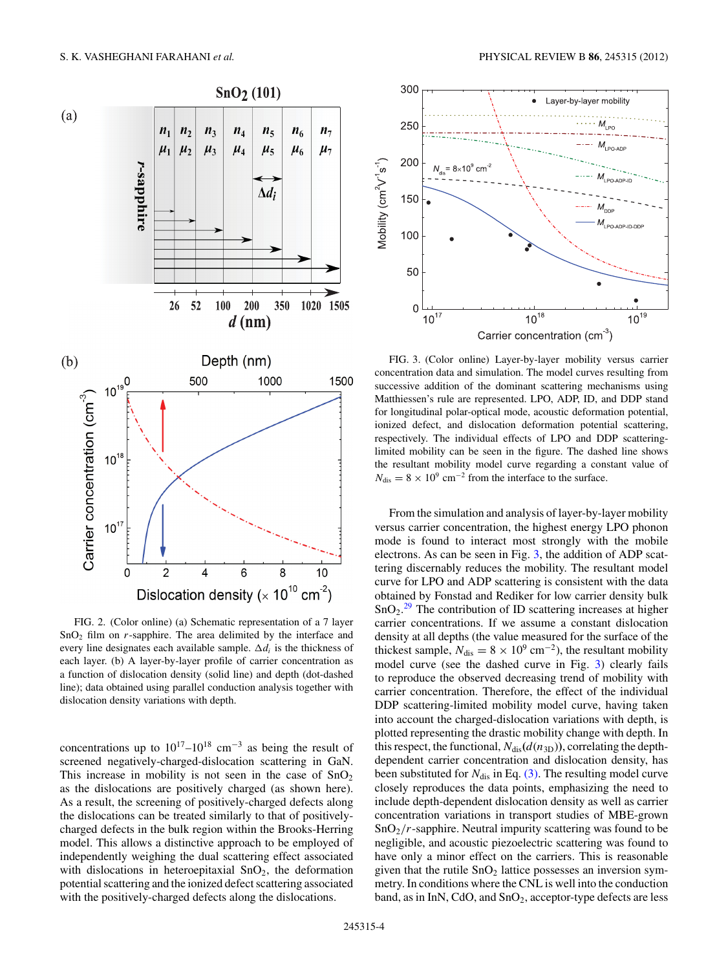<span id="page-3-0"></span>

FIG. 2. (Color online) (a) Schematic representation of a 7 layer SnO2 film on *r*-sapphire. The area delimited by the interface and every line designates each available sample.  $\Delta d_i$  is the thickness of each layer. (b) A layer-by-layer profile of carrier concentration as a function of dislocation density (solid line) and depth (dot-dashed line); data obtained using parallel conduction analysis together with dislocation density variations with depth.

concentrations up to  $10^{17}-10^{18}$  cm<sup>-3</sup> as being the result of screened negatively-charged-dislocation scattering in GaN. This increase in mobility is not seen in the case of  $SnO<sub>2</sub>$ as the dislocations are positively charged (as shown here). As a result, the screening of positively-charged defects along the dislocations can be treated similarly to that of positivelycharged defects in the bulk region within the Brooks-Herring model. This allows a distinctive approach to be employed of independently weighing the dual scattering effect associated with dislocations in heteroepitaxial  $SnO<sub>2</sub>$ , the deformation potential scattering and the ionized defect scattering associated with the positively-charged defects along the dislocations.



FIG. 3. (Color online) Layer-by-layer mobility versus carrier concentration data and simulation. The model curves resulting from successive addition of the dominant scattering mechanisms using Matthiessen's rule are represented. LPO, ADP, ID, and DDP stand for longitudinal polar-optical mode, acoustic deformation potential, ionized defect, and dislocation deformation potential scattering, respectively. The individual effects of LPO and DDP scatteringlimited mobility can be seen in the figure. The dashed line shows the resultant mobility model curve regarding a constant value of  $N_{\text{dis}} = 8 \times 10^9 \text{ cm}^{-2}$  from the interface to the surface.

From the simulation and analysis of layer-by-layer mobility versus carrier concentration, the highest energy LPO phonon mode is found to interact most strongly with the mobile electrons. As can be seen in Fig. 3, the addition of ADP scattering discernably reduces the mobility. The resultant model curve for LPO and ADP scattering is consistent with the data obtained by Fonstad and Rediker for low carrier density bulk  $SnO<sub>2</sub>.<sup>29</sup>$  $SnO<sub>2</sub>.<sup>29</sup>$  $SnO<sub>2</sub>.<sup>29</sup>$  The contribution of ID scattering increases at higher carrier concentrations. If we assume a constant dislocation density at all depths (the value measured for the surface of the thickest sample,  $N_{dis} = 8 \times 10^9$  cm<sup>-2</sup>), the resultant mobility model curve (see the dashed curve in Fig. 3) clearly fails to reproduce the observed decreasing trend of mobility with carrier concentration. Therefore, the effect of the individual DDP scattering-limited mobility model curve, having taken into account the charged-dislocation variations with depth, is plotted representing the drastic mobility change with depth. In this respect, the functional,  $N_{dis}(d(n_{3D}))$ , correlating the depthdependent carrier concentration and dislocation density, has been substituted for  $N_{dis}$  in Eq. [\(3\).](#page-2-0) The resulting model curve closely reproduces the data points, emphasizing the need to include depth-dependent dislocation density as well as carrier concentration variations in transport studies of MBE-grown SnO2*/r*-sapphire. Neutral impurity scattering was found to be negligible, and acoustic piezoelectric scattering was found to have only a minor effect on the carriers. This is reasonable given that the rutile  $SnO<sub>2</sub>$  lattice possesses an inversion symmetry. In conditions where the CNL is well into the conduction band, as in InN, CdO, and  $SnO<sub>2</sub>$ , acceptor-type defects are less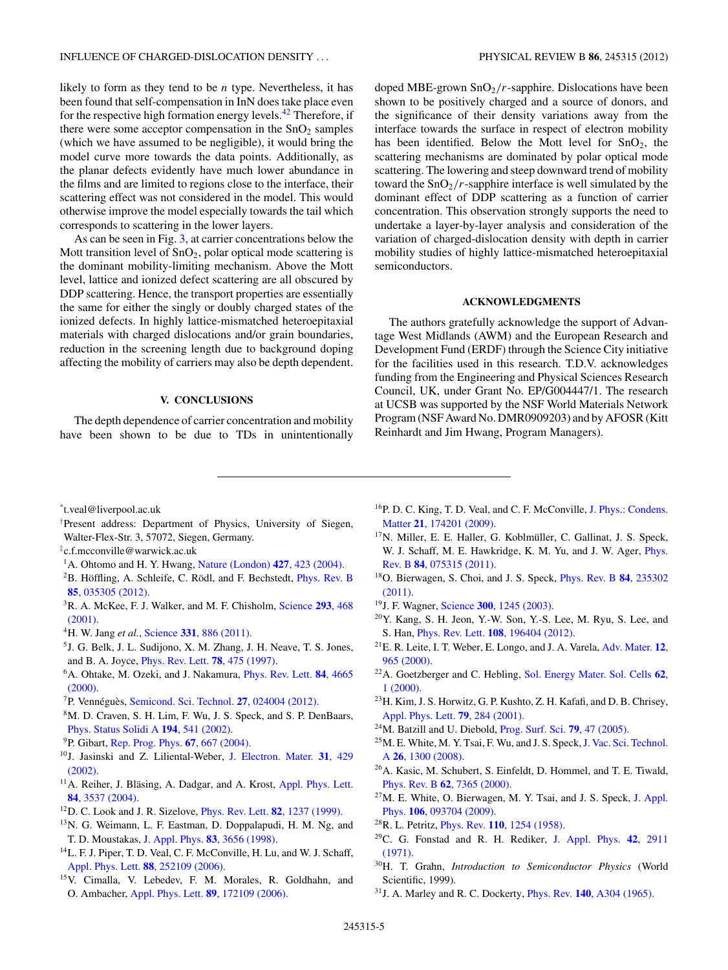<span id="page-4-0"></span>likely to form as they tend to be *n* type. Nevertheless, it has been found that self-compensation in InN does take place even for the respective high formation energy levels[.42](#page-5-0) Therefore, if there were some acceptor compensation in the  $SnO<sub>2</sub>$  samples (which we have assumed to be negligible), it would bring the model curve more towards the data points. Additionally, as the planar defects evidently have much lower abundance in the films and are limited to regions close to the interface, their scattering effect was not considered in the model. This would otherwise improve the model especially towards the tail which corresponds to scattering in the lower layers.

As can be seen in Fig. [3,](#page-3-0) at carrier concentrations below the Mott transition level of  $SnO<sub>2</sub>$ , polar optical mode scattering is the dominant mobility-limiting mechanism. Above the Mott level, lattice and ionized defect scattering are all obscured by DDP scattering. Hence, the transport properties are essentially the same for either the singly or doubly charged states of the ionized defects. In highly lattice-mismatched heteroepitaxial materials with charged dislocations and/or grain boundaries, reduction in the screening length due to background doping affecting the mobility of carriers may also be depth dependent.

#### **V. CONCLUSIONS**

The depth dependence of carrier concentration and mobility have been shown to be due to TDs in unintentionally doped MBE-grown  $SnO<sub>2</sub>/r$ -sapphire. Dislocations have been shown to be positively charged and a source of donors, and the significance of their density variations away from the interface towards the surface in respect of electron mobility has been identified. Below the Mott level for  $SnO<sub>2</sub>$ , the scattering mechanisms are dominated by polar optical mode scattering. The lowering and steep downward trend of mobility toward the  $SnO<sub>2</sub>/r$ -sapphire interface is well simulated by the dominant effect of DDP scattering as a function of carrier concentration. This observation strongly supports the need to undertake a layer-by-layer analysis and consideration of the variation of charged-dislocation density with depth in carrier mobility studies of highly lattice-mismatched heteroepitaxial semiconductors.

#### **ACKNOWLEDGMENTS**

The authors gratefully acknowledge the support of Advantage West Midlands (AWM) and the European Research and Development Fund (ERDF) through the Science City initiative for the facilities used in this research. T.D.V. acknowledges funding from the Engineering and Physical Sciences Research Council, UK, under Grant No. EP/G004447/1. The research at UCSB was supported by the NSF World Materials Network Program (NSF Award No. DMR0909203) and by AFOSR (Kitt Reinhardt and Jim Hwang, Program Managers).

\* t.veal@liverpool.ac.uk

- † Present address: Department of Physics, University of Siegen, Walter-Flex-Str. 3, 57072, Siegen, Germany.
- ‡ c.f.mcconville@warwick.ac.uk
- 1A. Ohtomo and H. Y. Hwang, [Nature \(London\)](http://dx.doi.org/10.1038/nature02308) **427**, 423 (2004).
- ${}^{2}$ B. Höffling, A. Schleife, C. Rödl, and F. Bechstedt, *[Phys. Rev. B](http://dx.doi.org/10.1103/PhysRevB.85.035305)* **85**[, 035305 \(2012\).](http://dx.doi.org/10.1103/PhysRevB.85.035305)
- 3R. A. McKee, F. J. Walker, and M. F. Chisholm, [Science](http://dx.doi.org/10.1126/science.293.5529.468) **293**, 468 [\(2001\).](http://dx.doi.org/10.1126/science.293.5529.468)
- 4H. W. Jang *et al.*, Science **331**[, 886 \(2011\).](http://dx.doi.org/10.1126/science.1198781)
- 5J. G. Belk, J. L. Sudijono, X. M. Zhang, J. H. Neave, T. S. Jones, and B. A. Joyce, [Phys. Rev. Lett.](http://dx.doi.org/10.1103/PhysRevLett.78.475) **78**, 475 (1997).
- 6A. Ohtake, M. Ozeki, and J. Nakamura, [Phys. Rev. Lett.](http://dx.doi.org/10.1103/PhysRevLett.84.4665) **84**, 4665 [\(2000\).](http://dx.doi.org/10.1103/PhysRevLett.84.4665)
- <sup>7</sup>P. Vennéguès, [Semicond. Sci. Technol.](http://dx.doi.org/10.1088/0268-1242/27/2/024004) **27**, 024004 (2012).
- 8M. D. Craven, S. H. Lim, F. Wu, J. S. Speck, and S. P. DenBaars, [Phys. Status Solidi A](http://dx.doi.org/10.1002/1521-396X(200212)194:2<541::AID-PSSA541>3.0.CO;2-R) **194**, 541 (2002).
- 9P. Gibart, [Rep. Prog. Phys.](http://dx.doi.org/10.1088/0034-4885/67/5/R02) **67**, 667 (2004).
- 10J. Jasinski and Z. Liliental-Weber, [J. Electron. Mater.](http://dx.doi.org/10.1007/s11664-002-0096-5) **31**, 429 [\(2002\).](http://dx.doi.org/10.1007/s11664-002-0096-5)
- <sup>11</sup>A. Reiher, J. Bläsing, A. Dadgar, and A. Krost, [Appl. Phys. Lett.](http://dx.doi.org/10.1063/1.1704870) **84**[, 3537 \(2004\).](http://dx.doi.org/10.1063/1.1704870)
- 12D. C. Look and J. R. Sizelove, [Phys. Rev. Lett.](http://dx.doi.org/10.1103/PhysRevLett.82.1237) **82**, 1237 (1999).
- <sup>13</sup>N. G. Weimann, L. F. Eastman, D. Doppalapudi, H. M. Ng, and T. D. Moustakas, J. Appl. Phys. **83**[, 3656 \(1998\).](http://dx.doi.org/10.1063/1.366585)
- <sup>14</sup>L. F. J. Piper, T. D. Veal, C. F. McConville, H. Lu, and W. J. Schaff, [Appl. Phys. Lett.](http://dx.doi.org/10.1063/1.2214156) **88**, 252109 (2006).
- 15V. Cimalla, V. Lebedev, F. M. Morales, R. Goldhahn, and O. Ambacher, [Appl. Phys. Lett.](http://dx.doi.org/10.1063/1.2364666) **89**, 172109 (2006).
- 16P. D. C. King, T. D. Veal, and C. F. McConville, [J. Phys.: Condens.](http://dx.doi.org/10.1088/0953-8984/21/17/174201) Matter **21**[, 174201 \(2009\).](http://dx.doi.org/10.1088/0953-8984/21/17/174201)
- $17N$ . Miller, E. E. Haller, G. Koblmüller, C. Gallinat, J. S. Speck, W. J. Schaff, M. E. Hawkridge, K. M. Yu, and J. W. Ager, [Phys.](http://dx.doi.org/10.1103/PhysRevB.84.075315) Rev. B **84**[, 075315 \(2011\).](http://dx.doi.org/10.1103/PhysRevB.84.075315)
- 18O. Bierwagen, S. Choi, and J. S. Speck, [Phys. Rev. B](http://dx.doi.org/10.1103/PhysRevB.84.235302) **84**, 235302 [\(2011\).](http://dx.doi.org/10.1103/PhysRevB.84.235302)
- 19J. F. Wagner, Science **300**[, 1245 \(2003\).](http://dx.doi.org/10.1126/science.1085276)
- 20Y. Kang, S. H. Jeon, Y.-W. Son, Y.-S. Lee, M. Ryu, S. Lee, and S. Han, Phys. Rev. Lett. **108**[, 196404 \(2012\).](http://dx.doi.org/10.1103/PhysRevLett.108.196404)
- 21E. R. Leite, I. T. Weber, E. Longo, and J. A. Varela, [Adv. Mater.](http://dx.doi.org/10.1002/1521-4095(200006)12:13<965::AID-ADMA965>3.0.CO;2-7) **12**, [965 \(2000\).](http://dx.doi.org/10.1002/1521-4095(200006)12:13<965::AID-ADMA965>3.0.CO;2-7)
- 22A. Goetzberger and C. Hebling, [Sol. Energy Mater. Sol. Cells](http://dx.doi.org/10.1016/S0927-0248(99)00131-2) **62**, [1 \(2000\).](http://dx.doi.org/10.1016/S0927-0248(99)00131-2)
- 23H. Kim, J. S. Horwitz, G. P. Kushto, Z. H. Kafafi, and D. B. Chrisey, [Appl. Phys. Lett.](http://dx.doi.org/10.1063/1.1383568) **79**, 284 (2001).
- 24M. Batzill and U. Diebold, [Prog. Surf. Sci.](http://dx.doi.org/10.1016/j.progsurf.2005.09.002) **79**, 47 (2005).
- <sup>25</sup>M. E. White, M. Y. Tsai, F. Wu, and J. S. Speck, [J. Vac. Sci. Technol.](http://dx.doi.org/10.1116/1.2966423) A **26**[, 1300 \(2008\).](http://dx.doi.org/10.1116/1.2966423)
- 26A. Kasic, M. Schubert, S. Einfeldt, D. Hommel, and T. E. Tiwald, Phys. Rev. B **62**[, 7365 \(2000\).](http://dx.doi.org/10.1103/PhysRevB.62.7365)
- $27$ M. E. White, O. Bierwagen, M. Y. Tsai, and J. S. Speck, [J. Appl.](http://dx.doi.org/10.1063/1.3254241) Phys. **106**[, 093704 \(2009\).](http://dx.doi.org/10.1063/1.3254241)
- 28R. L. Petritz, Phys. Rev. **110**[, 1254 \(1958\).](http://dx.doi.org/10.1103/PhysRev.110.1254)
- 29C. G. Fonstad and R. H. Rediker, [J. Appl. Phys.](http://dx.doi.org/10.1063/1.1660648) **42**, 2911 [\(1971\).](http://dx.doi.org/10.1063/1.1660648)
- 30H. T. Grahn, *Introduction to Semiconductor Physics* (World Scientific, 1999).
- 31J. A. Marley and R. C. Dockerty, Phys. Rev. **140**[, A304 \(1965\).](http://dx.doi.org/10.1103/PhysRev.140.A304)